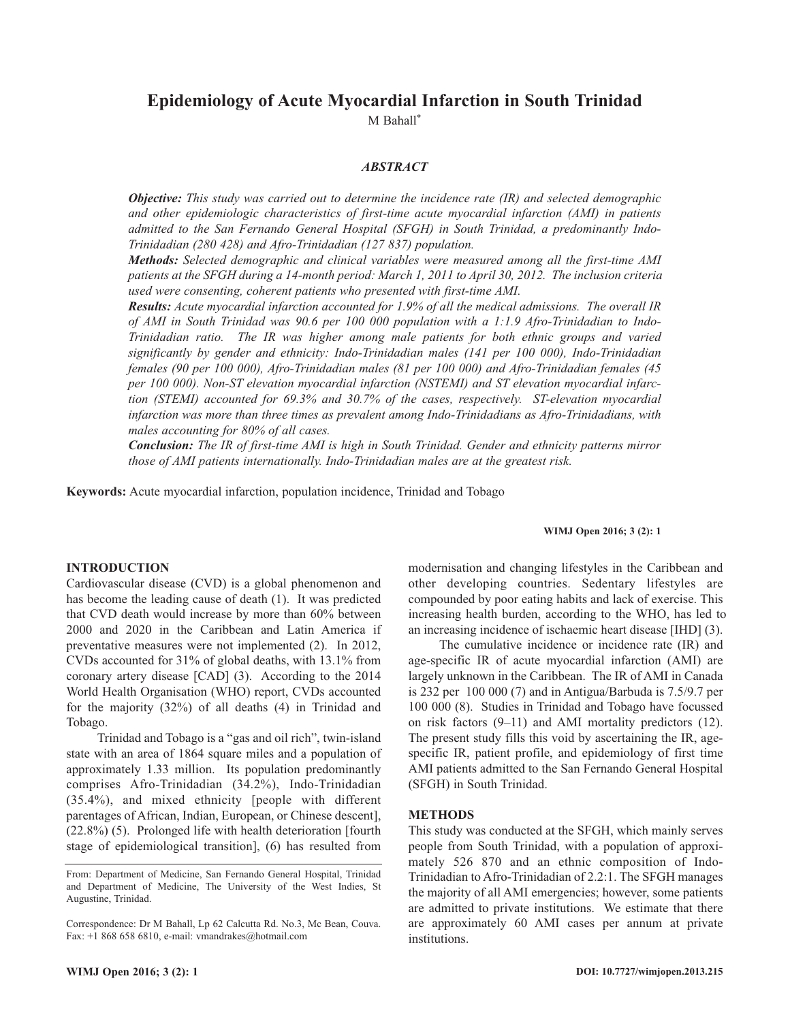# **Epidemiology of Acute Myocardial Infarction in South Trinidad**

M Bahall\*

# *ABSTRACT*

*Objective: This study was carried out to determine the incidence rate (IR) and selected demographic and other epidemiologic characteristics of first-time acute myocardial infarction (AMI) in patients admitted to the San Fernando General Hospital (SFGH) in South Trinidad, a predominantly Indo-Trinidadian (280 428) and Afro-Trinidadian (127 837) population.*

*Methods: Selected demographic and clinical variables were measured among all the first-time AMI* patients at the SFGH during a 14-month period: March 1, 2011 to April 30, 2012. The inclusion criteria *used were consenting, coherent patients who presented with first-time AMI.*

*Results: Acute myocardial infarction accounted for 1.9% of all the medical admissions. The overall IR of AMI in South Trinidad was 90.6 per 100 000 population with a 1:1.9 Afro-Trinidadian to Indo-Trinidadian ratio. The IR was higher among male patients for both ethnic groups and varied significantly by gender and ethnicity: Indo-Trinidadian males (141 per 100 000), Indo-Trinidadian females (90 per 100 000), Afro-Trinidadian males (81 per 100 000) and Afro-Trinidadian females (45 per 100 000). Non-ST elevation myocardial infarction (NSTEMI) and ST elevation myocardial infarction (STEMI) accounted for 69.3% and 30.7% of the cases, respectively. ST-elevation myocardial infarction was more than three times as prevalent among Indo-Trinidadians as Afro-Trinidadians, with males accounting for 80% of all cases.*

*Conclusion: The IR of first-time AMI is high in South Trinidad. Gender and ethnicity patterns mirror those of AMI patients internationally. Indo-Trinidadian males are at the greatest risk.*

**Keywords:** Acute myocardial infarction, population incidence, Trinidad and Tobago

#### **WIMJ Open 2016; 3 (2): 1**

## **INTRODUCTION**

Cardiovascular disease (CVD) is a global phenomenon and has become the leading cause of death (1). It was predicted that CVD death would increase by more than 60% between 2000 and 2020 in the Caribbean and Latin America if preventative measures were not implemented (2). In 2012, CVDs accounted for 31% of global deaths, with 13.1% from coronary artery disease [CAD] (3). According to the 2014 World Health Organisation (WHO) report, CVDs accounted for the majority (32%) of all deaths (4) in Trinidad and Tobago.

Trinidad and Tobago is a "gas and oil rich", twin-island state with an area of 1864 square miles and a population of approximately 1.33 million. Its population predominantly comprises Afro-Trinidadian (34.2%), Indo-Trinidadian (35.4%), and mixed ethnicity [people with different parentages of African, Indian, European, or Chinese descent], (22.8%) (5). Prolonged life with health deterioration [fourth stage of epidemiological transition], (6) has resulted from

modernisation and changing lifestyles in the Caribbean and other developing countries. Sedentary lifestyles are compounded by poor eating habits and lack of exercise. This increasing health burden, according to the WHO, has led to an increasing incidence of ischaemic heart disease [IHD] (3).

The cumulative incidence or incidence rate (IR) and age-specific IR of acute myocardial infarction (AMI) are largely unknown in the Caribbean. The IR of AMI in Canada is 232 per 100 000 (7) and in Antigua/Barbuda is 7.5/9.7 per 100 000 (8). Studies in Trinidad and Tobago have focussed on risk factors (9–11) and AMI mortality predictors (12). The present study fills this void by ascertaining the IR, agespecific IR, patient profile, and epidemiology of first time AMI patients admitted to the San Fernando General Hospital (SFGH) in South Trinidad.

#### **METHODS**

This study was conducted at the SFGH, which mainly serves people from South Trinidad, with a population of approximately 526 870 and an ethnic composition of Indo-Trinidadian to Afro-Trinidadian of 2.2:1. The SFGH manages the majority of all AMI emergencies; however, some patients are admitted to private institutions. We estimate that there are approximately 60 AMI cases per annum at private institutions.

From: Department of Medicine, San Fernando General Hospital, Trinidad and Department of Medicine, The University of the West Indies, St Augustine, Trinidad.

Correspondence: Dr M Bahall, Lp 62 Calcutta Rd. No.3, Mc Bean, Couva. Fax: +1 868 658 6810, e-mail: vmandrakes@hotmail.com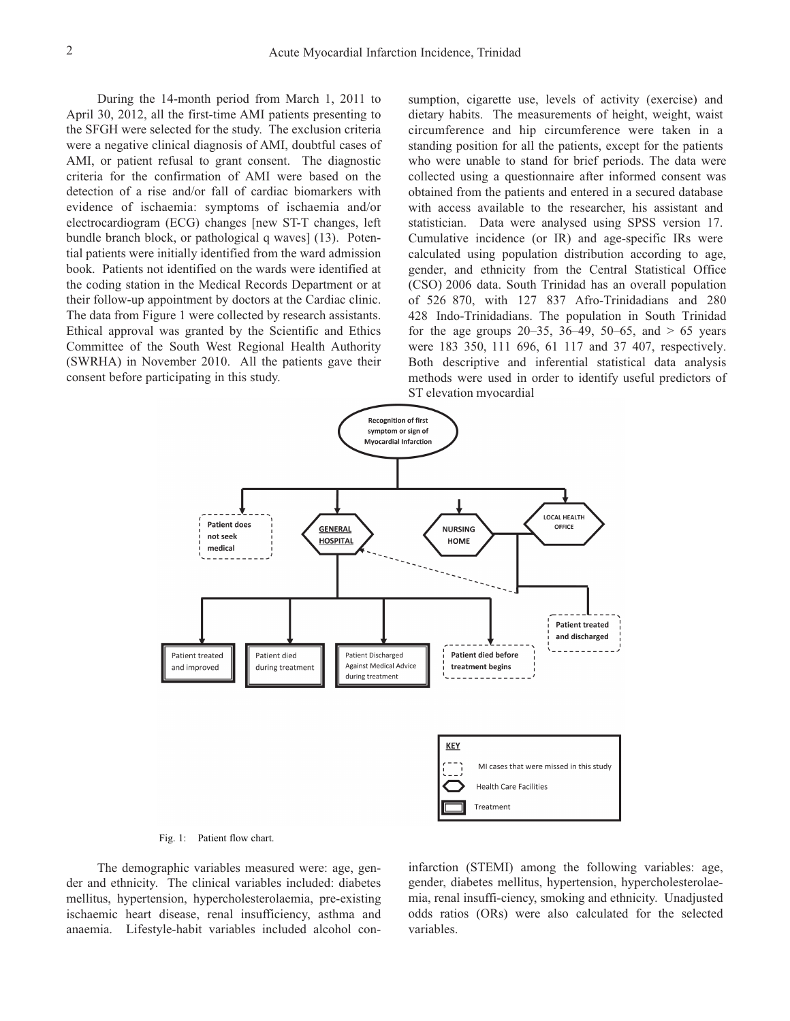During the 14-month period from March 1, 2011 to April 30, 2012, all the first-time AMI patients presenting to the SFGH were selected for the study. The exclusion criteria were a negative clinical diagnosis of AMI, doubtful cases of AMI, or patient refusal to grant consent. The diagnostic criteria for the confirmation of AMI were based on the detection of a rise and/or fall of cardiac biomarkers with evidence of ischaemia: symptoms of ischaemia and/or electrocardiogram (ECG) changes [new ST-T changes, left bundle branch block, or pathological q waves] (13). Potential patients were initially identified from the ward admission book. Patients not identified on the wards were identified at the coding station in the Medical Records Department or at their follow-up appointment by doctors at the Cardiac clinic. The data from Figure 1 were collected by research assistants. Ethical approval was granted by the Scientific and Ethics Committee of the South West Regional Health Authority (SWRHA) in November 2010. All the patients gave their consent before participating in this study.

sumption, cigarette use, levels of activity (exercise) and dietary habits. The measurements of height, weight, waist circumference and hip circumference were taken in a standing position for all the patients, except for the patients who were unable to stand for brief periods. The data were collected using a questionnaire after informed consent was obtained from the patients and entered in a secured database with access available to the researcher, his assistant and statistician. Data were analysed using SPSS version 17. Cumulative incidence (or IR) and age-specific IRs were calculated using population distribution according to age, gender, and ethnicity from the Central Statistical Office (CSO) 2006 data. South Trinidad has an overall population of 526 870, with 127 837 Afro-Trinidadians and 280 428 Indo-Trinidadians. The population in South Trinidad for the age groups  $20-35$ ,  $36-49$ ,  $50-65$ , and  $> 65$  years were 183 350, 111 696, 61 117 and 37 407, respectively. Both descriptive and inferential statistical data analysis methods were used in order to identify useful predictors of ST elevation myocardial





The demographic variables measured were: age, gender and ethnicity. The clinical variables included: diabetes mellitus, hypertension, hypercholesterolaemia, pre-existing ischaemic heart disease, renal insufficiency, asthma and anaemia. Lifestyle-habit variables included alcohol coninfarction (STEMI) among the following variables: age, gender, diabetes mellitus, hypertension, hypercholesterolaemia, renal insuffi-ciency, smoking and ethnicity. Unadjusted odds ratios (ORs) were also calculated for the selected variables.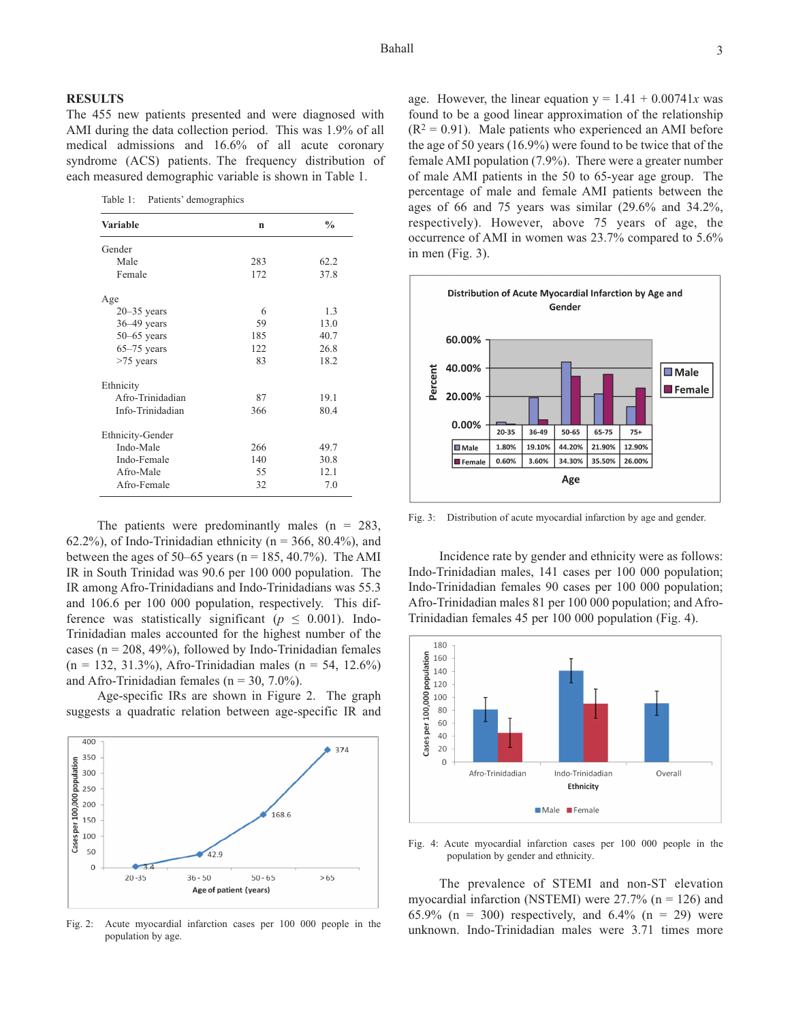## **RESULTS**

The 455 new patients presented and were diagnosed with AMI during the data collection period. This was 1.9% of all medical admissions and 16.6% of all acute coronary syndrome (ACS) patients. The frequency distribution of each measured demographic variable is shown in Table 1.

Table 1: Patients' demographics

| Variable                | $\mathbf n$ | $\frac{0}{0}$ |
|-------------------------|-------------|---------------|
| Gender                  |             |               |
| Male                    | 283         | 62.2          |
| Female                  | 172         | 37.8          |
| Age                     |             |               |
| $20 - 35$ years         | 6           | 1.3           |
| $36 - 49$ years         | 59          | 13.0          |
| $50-65$ years           | 185         | 40.7          |
| $65-75$ years           | 122.        | 26.8          |
| $>75$ years             | 83          | 18.2          |
| Ethnicity               |             |               |
| Afro-Trinidadian        | 87          | 19.1          |
| Info-Trinidadian        | 366         | 80.4          |
| <b>Ethnicity-Gender</b> |             |               |
| Indo-Male               | 266         | 49.7          |
| Indo-Female             | 140         | 30.8          |
| Afro-Male               | 55          | 12.1          |
| Afro-Female             | 32          | 7.0           |

The patients were predominantly males  $(n = 283,$ 62.2%), of Indo-Trinidadian ethnicity ( $n = 366$ , 80.4%), and between the ages of 50–65 years ( $n = 185, 40.7\%$ ). The AMI IR in South Trinidad was 90.6 per 100 000 population. The IR among Afro-Trinidadians and Indo-Trinidadians was 55.3 and 106.6 per 100 000 population, respectively. This difference was statistically significant ( $p \le 0.001$ ). Indo-Trinidadian males accounted for the highest number of the cases ( $n = 208$ , 49%), followed by Indo-Trinidadian females  $(n = 132, 31.3\%)$ , Afro-Trinidadian males  $(n = 54, 12.6\%)$ and Afro-Trinidadian females ( $n = 30, 7.0\%$ ).

Age-specific IRs are shown in Figure 2. The graph suggests a quadratic relation between age-specific IR and



Fig. 2: Acute myocardial infarction cases per 100 000 people in the population by age.

age. However, the linear equation  $y = 1.41 + 0.00741x$  was found to be a good linear approximation of the relationship  $(R<sup>2</sup> = 0.91)$ . Male patients who experienced an AMI before the age of 50 years (16.9%) were found to be twice that of the female AMI population (7.9%). There were a greater number of male AMI patients in the 50 to 65-year age group. The percentage of male and female AMI patients between the



ages of 66 and 75 years was similar (29.6% and 34.2%, respectively). However, above 75 years of age, the occurrence of AMI in women was 23.7% compared to 5.6%

Fig. 3: Distribution of acute myocardial infarction by age and gender.

Incidence rate by gender and ethnicity were as follows: Indo-Trinidadian males, 141 cases per 100 000 population; Indo-Trinidadian females 90 cases per 100 000 population; Afro-Trinidadian males 81 per 100 000 population; and Afro-Trinidadian females 45 per 100 000 population (Fig. 4).



Fig. 4: Acute myocardial infarction cases per 100 000 people in the population by gender and ethnicity.

The prevalence of STEMI and non-ST elevation myocardial infarction (NSTEMI) were  $27.7\%$  (n = 126) and 65.9% (n = 300) respectively, and 6.4% (n = 29) were unknown. Indo-Trinidadian males were 3.71 times more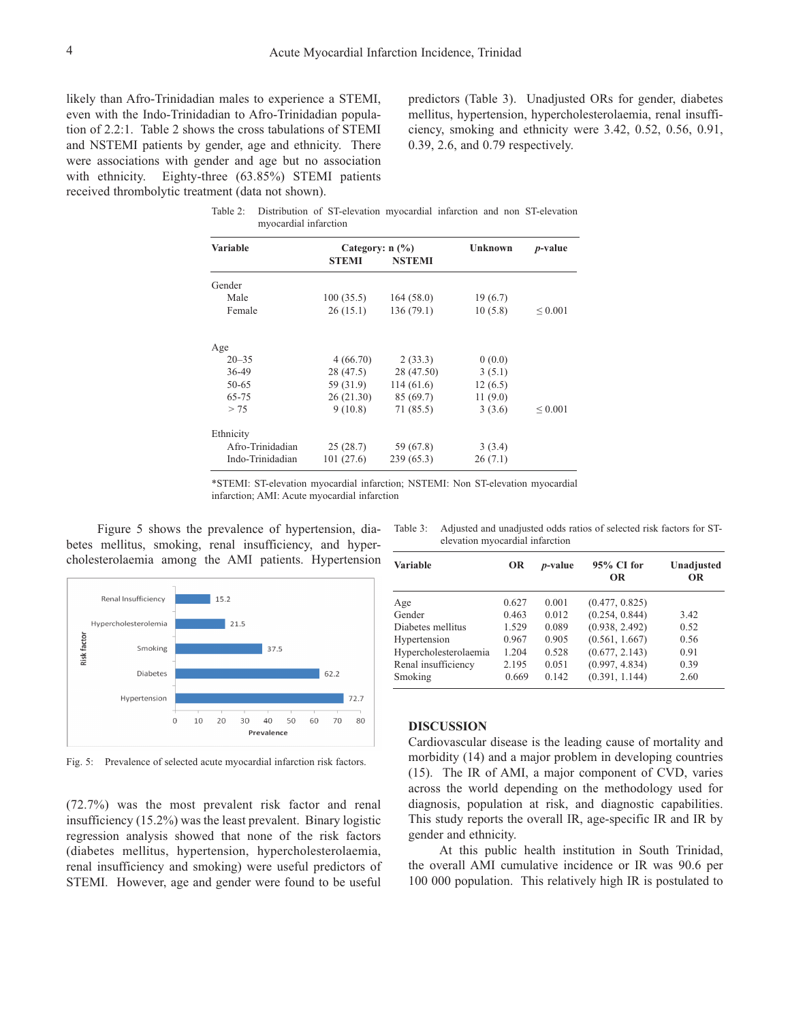likely than Afro-Trinidadian males to experience a STEMI, even with the Indo-Trinidadian to Afro-Trinidadian population of 2.2:1. Table 2 shows the cross tabulations of STEMI and NSTEMI patients by gender, age and ethnicity. There were associations with gender and age but no association with ethnicity. Eighty-three (63.85%) STEMI patients received thrombolytic treatment (data not shown).

predictors (Table 3). Unadjusted ORs for gender, diabetes mellitus, hypertension, hypercholesterolaemia, renal insufficiency, smoking and ethnicity were 3.42, 0.52, 0.56, 0.91, 0.39, 2.6, and 0.79 respectively.

Table 2: Distribution of ST-elevation myocardial infarction and non ST-elevation myocardial infarction

| <b>Variable</b>  | Category: $n$ (%)<br>STEMI<br><b>NSTEMI</b> |            | Unknown | <i>p</i> -value |  |
|------------------|---------------------------------------------|------------|---------|-----------------|--|
| Gender           |                                             |            |         |                 |  |
| Male             | 100(35.5)                                   | 164(58.0)  | 19(6.7) |                 |  |
| Female           | 26(15.1)                                    | 136(79.1)  | 10(5.8) | ${}_{0.001}$    |  |
| Age              |                                             |            |         |                 |  |
| $20 - 35$        | 4(66.70)                                    | 2(33.3)    | 0(0.0)  |                 |  |
| 36-49            | 28 (47.5)                                   | 28 (47.50) | 3(5.1)  |                 |  |
| 50-65            | 59 (31.9)                                   | 114(61.6)  | 12(6.5) |                 |  |
| 65-75            | 26(21.30)                                   | 85 (69.7)  | 11(9.0) |                 |  |
| > 75             | 9(10.8)                                     | 71 (85.5)  | 3(3.6)  | ${}_{0.001}$    |  |
| Ethnicity        |                                             |            |         |                 |  |
| Afro-Trinidadian | 25(28.7)                                    | 59 (67.8)  | 3(3.4)  |                 |  |
| Indo-Trinidadian | 101(27.6)                                   | 239(65.3)  | 26(7.1) |                 |  |

\*STEMI: ST-elevation myocardial infarction; NSTEMI: Non ST-elevation myocardial infarction; AMI: Acute myocardial infarction

Figure 5 shows the prevalence of hypertension, diabetes mellitus, smoking, renal insufficiency, and hypercholesterolaemia among the AMI patients. Hypertension



Fig. 5: Prevalence of selected acute myocardial infarction risk factors.

(72.7%) was the most prevalent risk factor and renal insufficiency (15.2%) was the least prevalent. Binary logistic regression analysis showed that none of the risk factors (diabetes mellitus, hypertension, hypercholesterolaemia, renal insufficiency and smoking) were useful predictors of STEMI. However, age and gender were found to be useful

Table 3: Adjusted and unadjusted odds ratios of selected risk factors for STelevation myocardial infarction

| <b>Variable</b>       | OR    | <i>p</i> -value | 95% CI for<br><b>OR</b> | Unadjusted<br><b>OR</b> |
|-----------------------|-------|-----------------|-------------------------|-------------------------|
| Age                   | 0.627 | 0.001           | (0.477, 0.825)          |                         |
| Gender                | 0.463 | 0.012           | (0.254, 0.844)          | 3.42                    |
| Diabetes mellitus     | 1.529 | 0.089           | (0.938, 2.492)          | 0.52                    |
| Hypertension          | 0.967 | 0.905           | (0.561, 1.667)          | 0.56                    |
| Hypercholesterolaemia | 1.204 | 0.528           | (0.677, 2.143)          | 0.91                    |
| Renal insufficiency   | 2.195 | 0.051           | (0.997, 4.834)          | 0.39                    |
| Smoking               | 0.669 | 0.142           | (0.391, 1.144)          | 2.60                    |

## **DISCUSSION**

Cardiovascular disease is the leading cause of mortality and morbidity (14) and a major problem in developing countries (15). The IR of AMI, a major component of CVD, varies across the world depending on the methodology used for diagnosis, population at risk, and diagnostic capabilities. This study reports the overall IR, age-specific IR and IR by gender and ethnicity.

At this public health institution in South Trinidad, the overall AMI cumulative incidence or IR was 90.6 per 100 000 population. This relatively high IR is postulated to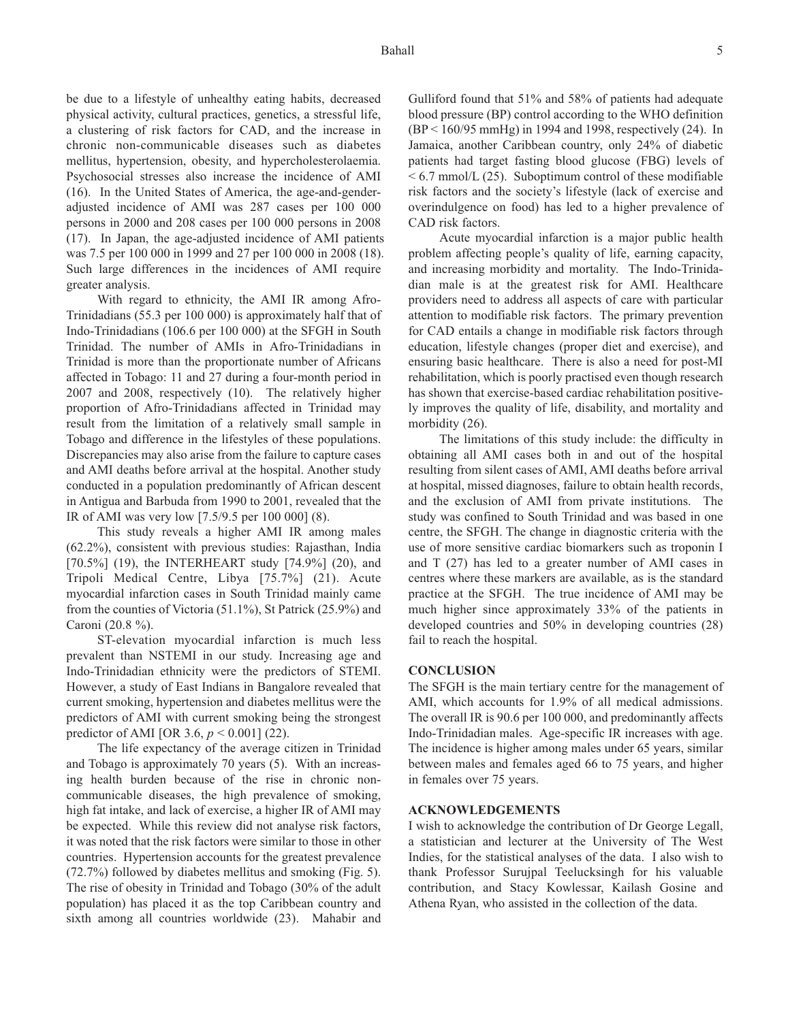be due to a lifestyle of unhealthy eating habits, decreased physical activity, cultural practices, genetics, a stressful life, a clustering of risk factors for CAD, and the increase in chronic non-communicable diseases such as diabetes mellitus, hypertension, obesity, and hypercholesterolaemia. Psychosocial stresses also increase the incidence of AMI (16). In the United States of America, the age-and-genderadjusted incidence of AMI was 287 cases per 100 000 persons in 2000 and 208 cases per 100 000 persons in 2008 (17). In Japan, the age-adjusted incidence of AMI patients was 7.5 per 100 000 in 1999 and 27 per 100 000 in 2008 (18). Such large differences in the incidences of AMI require greater analysis.

With regard to ethnicity, the AMI IR among Afro-Trinidadians (55.3 per 100 000) is approximately half that of Indo-Trinidadians (106.6 per 100 000) at the SFGH in South Trinidad. The number of AMIs in Afro-Trinidadians in Trinidad is more than the proportionate number of Africans affected in Tobago: 11 and 27 during a four-month period in 2007 and 2008, respectively (10). The relatively higher proportion of Afro-Trinidadians affected in Trinidad may result from the limitation of a relatively small sample in Tobago and difference in the lifestyles of these populations. Discrepancies may also arise from the failure to capture cases and AMI deaths before arrival at the hospital. Another study conducted in a population predominantly of African descent in Antigua and Barbuda from 1990 to 2001, revealed that the IR of AMI was very low [7.5/9.5 per 100 000] (8).

This study reveals a higher AMI IR among males (62.2%), consistent with previous studies: Rajasthan, India [70.5%] (19), the INTERHEART study [74.9%] (20), and Tripoli Medical Centre, Libya [75.7%] (21). Acute myocardial infarction cases in South Trinidad mainly came from the counties of Victoria (51.1%), St Patrick (25.9%) and Caroni (20.8 %).

ST-elevation myocardial infarction is much less prevalent than NSTEMI in our study. Increasing age and Indo-Trinidadian ethnicity were the predictors of STEMI. However, a study of East Indians in Bangalore revealed that current smoking, hypertension and diabetes mellitus were the predictors of AMI with current smoking being the strongest predictor of AMI [OR 3.6, *p* < 0.001] (22).

The life expectancy of the average citizen in Trinidad and Tobago is approximately 70 years (5). With an increasing health burden because of the rise in chronic noncommunicable diseases, the high prevalence of smoking, high fat intake, and lack of exercise, a higher IR of AMI may be expected. While this review did not analyse risk factors, it was noted that the risk factors were similar to those in other countries. Hypertension accounts for the greatest prevalence (72.7%) followed by diabetes mellitus and smoking (Fig. 5). The rise of obesity in Trinidad and Tobago (30% of the adult population) has placed it as the top Caribbean country and sixth among all countries worldwide (23). Mahabir and Gulliford found that 51% and 58% of patients had adequate blood pressure (BP) control according to the WHO definition (BP < 160/95 mmHg) in 1994 and 1998, respectively (24). In Jamaica, another Caribbean country, only 24% of diabetic patients had target fasting blood glucose (FBG) levels of  $\leq 6.7$  mmol/L (25). Suboptimum control of these modifiable risk factors and the society's lifestyle (lack of exercise and overindulgence on food) has led to a higher prevalence of CAD risk factors.

Acute myocardial infarction is a major public health problem affecting people's quality of life, earning capacity, and increasing morbidity and mortality. The Indo-Trinidadian male is at the greatest risk for AMI. Healthcare providers need to address all aspects of care with particular attention to modifiable risk factors. The primary prevention for CAD entails a change in modifiable risk factors through education, lifestyle changes (proper diet and exercise), and ensuring basic healthcare. There is also a need for post-MI rehabilitation, which is poorly practised even though research has shown that exercise-based cardiac rehabilitation positively improves the quality of life, disability, and mortality and morbidity (26).

The limitations of this study include: the difficulty in obtaining all AMI cases both in and out of the hospital resulting from silent cases of AMI, AMI deaths before arrival at hospital, missed diagnoses, failure to obtain health records, and the exclusion of AMI from private institutions. The study was confined to South Trinidad and was based in one centre, the SFGH. The change in diagnostic criteria with the use of more sensitive cardiac biomarkers such as troponin I and T (27) has led to a greater number of AMI cases in centres where these markers are available, as is the standard practice at the SFGH. The true incidence of AMI may be much higher since approximately 33% of the patients in developed countries and 50% in developing countries (28) fail to reach the hospital.

## **CONCLUSION**

The SFGH is the main tertiary centre for the management of AMI, which accounts for 1.9% of all medical admissions. The overall IR is 90.6 per 100 000, and predominantly affects Indo-Trinidadian males. Age-specific IR increases with age. The incidence is higher among males under 65 years, similar between males and females aged 66 to 75 years, and higher in females over 75 years.

## **ACKNOWLEDGEMENTS**

I wish to acknowledge the contribution of Dr George Legall, a statistician and lecturer at the University of The West Indies, for the statistical analyses of the data. I also wish to thank Professor Surujpal Teelucksingh for his valuable contribution, and Stacy Kowlessar, Kailash Gosine and Athena Ryan, who assisted in the collection of the data.